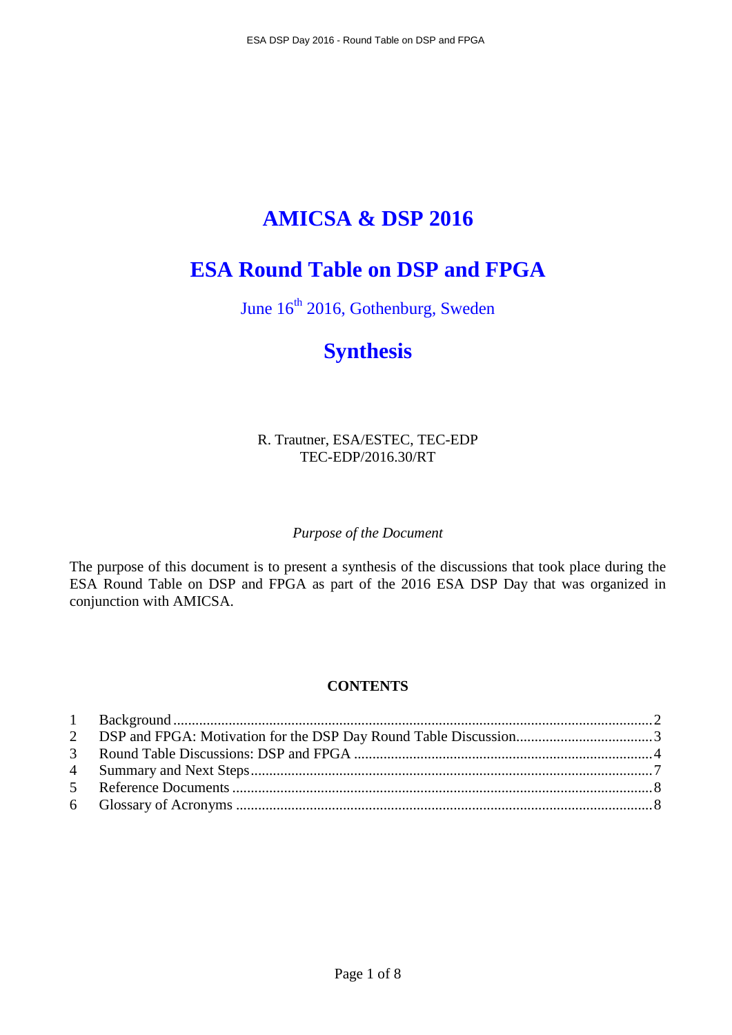# **AMICSA & DSP 2016**

## **ESA Round Table on DSP and FPGA**

June  $16^{th}$  2016, Gothenburg, Sweden

## **Synthesis**

R. Trautner, ESA/ESTEC, TEC-EDP TEC-EDP/2016.30/RT

## *Purpose of the Document*

The purpose of this document is to present a synthesis of the discussions that took place during the ESA Round Table on DSP and FPGA as part of the 2016 ESA DSP Day that was organized in conjunction with AMICSA.

## **CONTENTS**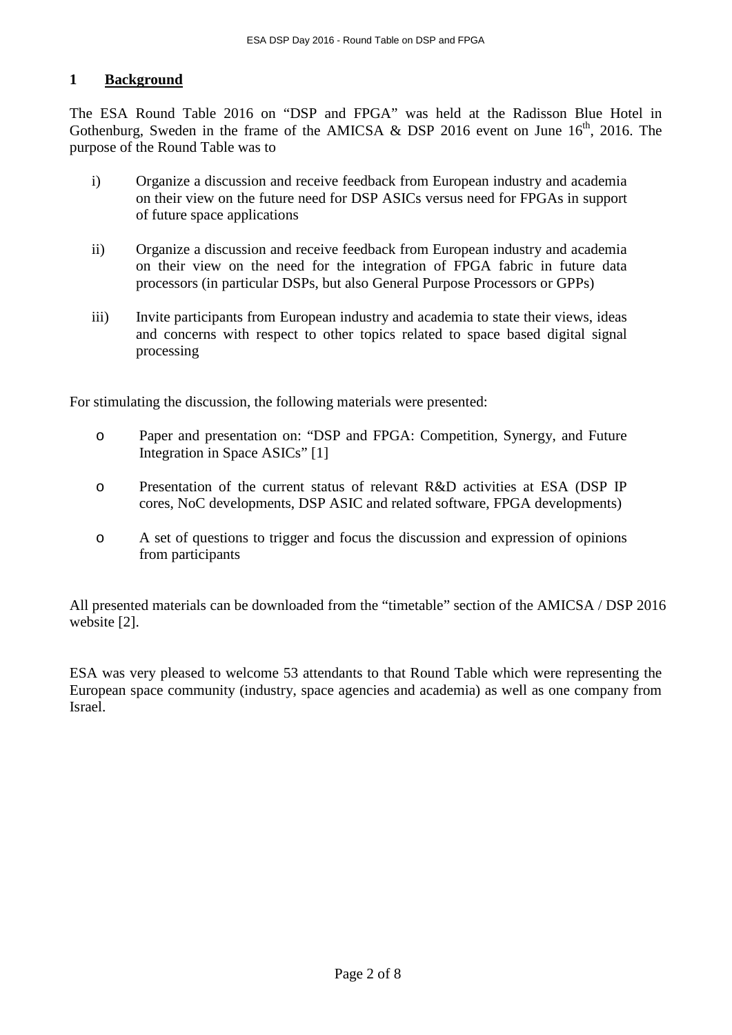## **1 Background**

The ESA Round Table 2016 on "DSP and FPGA" was held at the Radisson Blue Hotel in Gothenburg, Sweden in the frame of the AMICSA & DSP 2016 event on June  $16<sup>th</sup>$ , 2016. The purpose of the Round Table was to

- i) Organize a discussion and receive feedback from European industry and academia on their view on the future need for DSP ASICs versus need for FPGAs in support of future space applications
- ii) Organize a discussion and receive feedback from European industry and academia on their view on the need for the integration of FPGA fabric in future data processors (in particular DSPs, but also General Purpose Processors or GPPs)
- iii) Invite participants from European industry and academia to state their views, ideas and concerns with respect to other topics related to space based digital signal processing

For stimulating the discussion, the following materials were presented:

- o Paper and presentation on: "DSP and FPGA: Competition, Synergy, and Future Integration in Space ASICs" [1]
- o Presentation of the current status of relevant R&D activities at ESA (DSP IP cores, NoC developments, DSP ASIC and related software, FPGA developments)
- o A set of questions to trigger and focus the discussion and expression of opinions from participants

All presented materials can be downloaded from the "timetable" section of the AMICSA / DSP 2016 website [2].

ESA was very pleased to welcome 53 attendants to that Round Table which were representing the European space community (industry, space agencies and academia) as well as one company from Israel.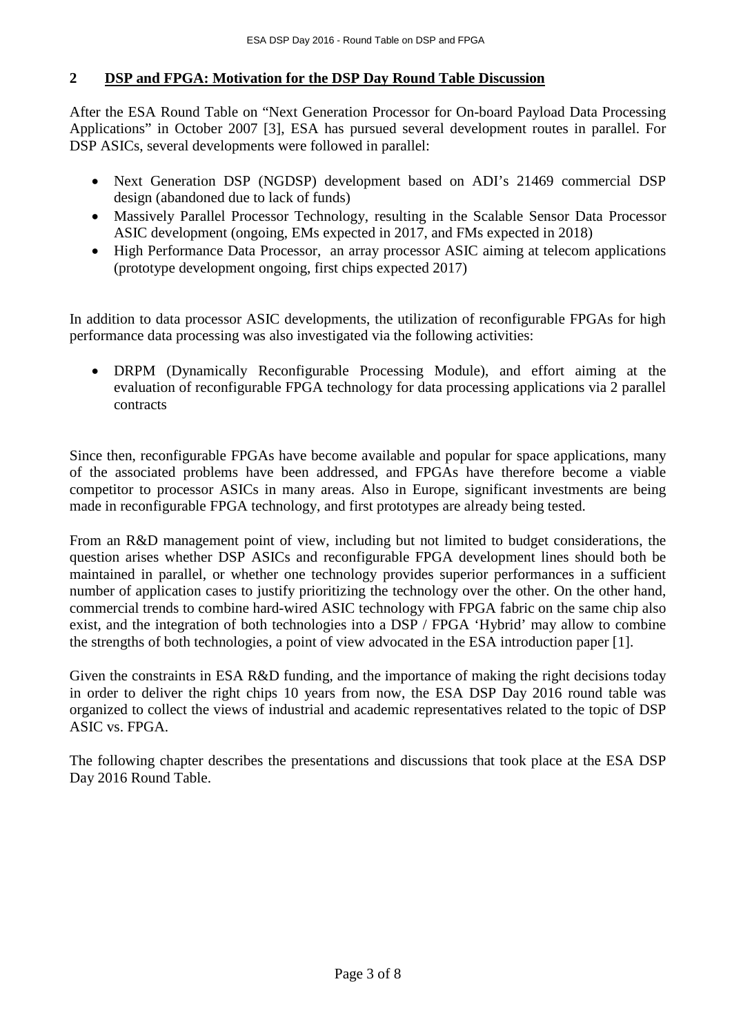## **2 DSP and FPGA: Motivation for the DSP Day Round Table Discussion**

After the ESA Round Table on "Next Generation Processor for On-board Payload Data Processing Applications" in October 2007 [3], ESA has pursued several development routes in parallel. For DSP ASICs, several developments were followed in parallel:

- Next Generation DSP (NGDSP) development based on ADI's 21469 commercial DSP design (abandoned due to lack of funds)
- Massively Parallel Processor Technology, resulting in the Scalable Sensor Data Processor ASIC development (ongoing, EMs expected in 2017, and FMs expected in 2018)
- High Performance Data Processor, an array processor ASIC aiming at telecom applications (prototype development ongoing, first chips expected 2017)

In addition to data processor ASIC developments, the utilization of reconfigurable FPGAs for high performance data processing was also investigated via the following activities:

• DRPM (Dynamically Reconfigurable Processing Module), and effort aiming at the evaluation of reconfigurable FPGA technology for data processing applications via 2 parallel contracts

Since then, reconfigurable FPGAs have become available and popular for space applications, many of the associated problems have been addressed, and FPGAs have therefore become a viable competitor to processor ASICs in many areas. Also in Europe, significant investments are being made in reconfigurable FPGA technology, and first prototypes are already being tested.

From an R&D management point of view, including but not limited to budget considerations, the question arises whether DSP ASICs and reconfigurable FPGA development lines should both be maintained in parallel, or whether one technology provides superior performances in a sufficient number of application cases to justify prioritizing the technology over the other. On the other hand, commercial trends to combine hard-wired ASIC technology with FPGA fabric on the same chip also exist, and the integration of both technologies into a DSP / FPGA 'Hybrid' may allow to combine the strengths of both technologies, a point of view advocated in the ESA introduction paper [1].

Given the constraints in ESA R&D funding, and the importance of making the right decisions today in order to deliver the right chips 10 years from now, the ESA DSP Day 2016 round table was organized to collect the views of industrial and academic representatives related to the topic of DSP ASIC vs. FPGA.

The following chapter describes the presentations and discussions that took place at the ESA DSP Day 2016 Round Table.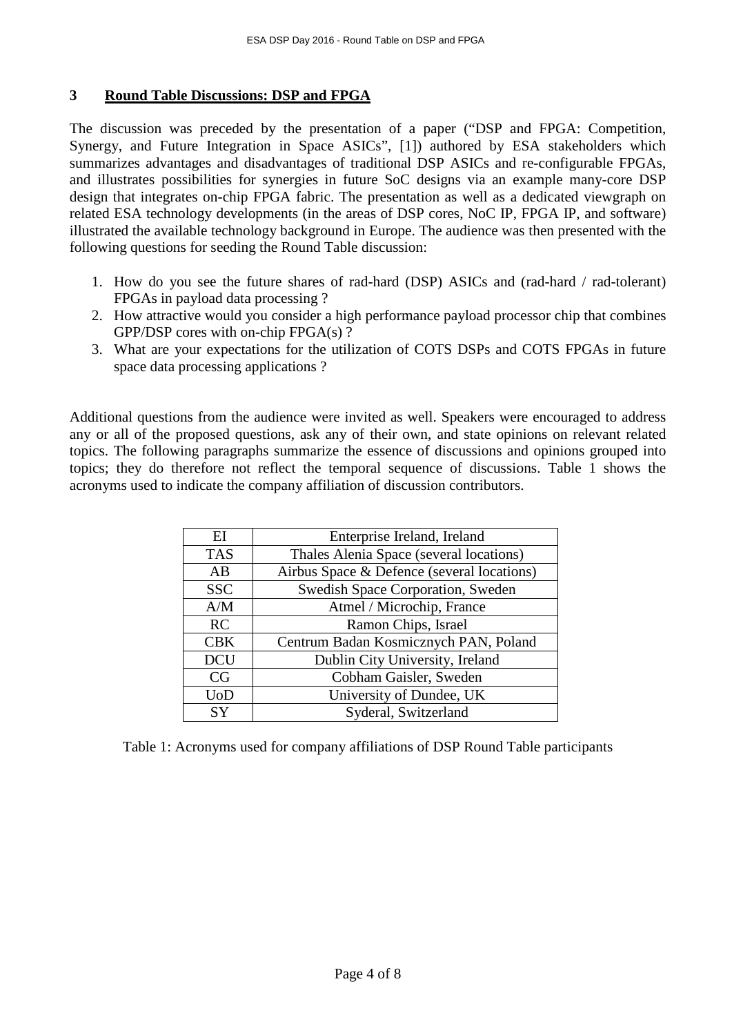#### **3 Round Table Discussions: DSP and FPGA**

The discussion was preceded by the presentation of a paper ("DSP and FPGA: Competition, Synergy, and Future Integration in Space ASICs", [1]) authored by ESA stakeholders which summarizes advantages and disadvantages of traditional DSP ASICs and re-configurable FPGAs, and illustrates possibilities for synergies in future SoC designs via an example many-core DSP design that integrates on-chip FPGA fabric. The presentation as well as a dedicated viewgraph on related ESA technology developments (in the areas of DSP cores, NoC IP, FPGA IP, and software) illustrated the available technology background in Europe. The audience was then presented with the following questions for seeding the Round Table discussion:

- 1. How do you see the future shares of rad-hard (DSP) ASICs and (rad-hard / rad-tolerant) FPGAs in payload data processing ?
- 2. How attractive would you consider a high performance payload processor chip that combines GPP/DSP cores with on-chip FPGA(s) ?
- 3. What are your expectations for the utilization of COTS DSPs and COTS FPGAs in future space data processing applications ?

Additional questions from the audience were invited as well. Speakers were encouraged to address any or all of the proposed questions, ask any of their own, and state opinions on relevant related topics. The following paragraphs summarize the essence of discussions and opinions grouped into topics; they do therefore not reflect the temporal sequence of discussions. Table 1 shows the acronyms used to indicate the company affiliation of discussion contributors.

| EI                   | Enterprise Ireland, Ireland                |
|----------------------|--------------------------------------------|
| <b>TAS</b>           | Thales Alenia Space (several locations)    |
| AB                   | Airbus Space & Defence (several locations) |
| <b>SSC</b>           | Swedish Space Corporation, Sweden          |
| A/M                  | Atmel / Microchip, France                  |
| RC                   | Ramon Chips, Israel                        |
| <b>CBK</b>           | Centrum Badan Kosmicznych PAN, Poland      |
| <b>DCU</b>           | Dublin City University, Ireland            |
| CG                   | Cobham Gaisler, Sweden                     |
| $\operatorname{UoD}$ | University of Dundee, UK                   |
| <b>SY</b>            | Syderal, Switzerland                       |

Table 1: Acronyms used for company affiliations of DSP Round Table participants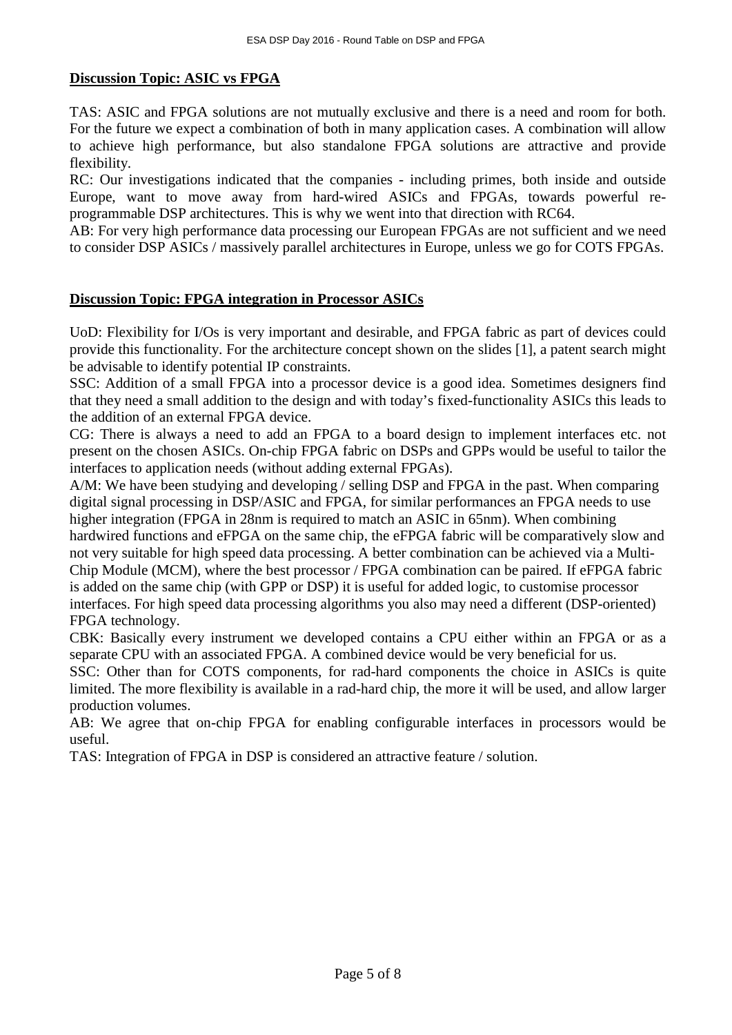## **Discussion Topic: ASIC vs FPGA**

TAS: ASIC and FPGA solutions are not mutually exclusive and there is a need and room for both. For the future we expect a combination of both in many application cases. A combination will allow to achieve high performance, but also standalone FPGA solutions are attractive and provide flexibility.

RC: Our investigations indicated that the companies - including primes, both inside and outside Europe, want to move away from hard-wired ASICs and FPGAs, towards powerful reprogrammable DSP architectures. This is why we went into that direction with RC64.

AB: For very high performance data processing our European FPGAs are not sufficient and we need to consider DSP ASICs / massively parallel architectures in Europe, unless we go for COTS FPGAs.

## **Discussion Topic: FPGA integration in Processor ASICs**

UoD: Flexibility for I/Os is very important and desirable, and FPGA fabric as part of devices could provide this functionality. For the architecture concept shown on the slides [1], a patent search might be advisable to identify potential IP constraints.

SSC: Addition of a small FPGA into a processor device is a good idea. Sometimes designers find that they need a small addition to the design and with today's fixed-functionality ASICs this leads to the addition of an external FPGA device.

CG: There is always a need to add an FPGA to a board design to implement interfaces etc. not present on the chosen ASICs. On-chip FPGA fabric on DSPs and GPPs would be useful to tailor the interfaces to application needs (without adding external FPGAs).

A/M: We have been studying and developing / selling DSP and FPGA in the past. When comparing digital signal processing in DSP/ASIC and FPGA, for similar performances an FPGA needs to use higher integration (FPGA in 28nm is required to match an ASIC in 65nm). When combining hardwired functions and eFPGA on the same chip, the eFPGA fabric will be comparatively slow and not very suitable for high speed data processing. A better combination can be achieved via a Multi-Chip Module (MCM), where the best processor / FPGA combination can be paired. If eFPGA fabric is added on the same chip (with GPP or DSP) it is useful for added logic, to customise processor interfaces. For high speed data processing algorithms you also may need a different (DSP-oriented) FPGA technology.

CBK: Basically every instrument we developed contains a CPU either within an FPGA or as a separate CPU with an associated FPGA. A combined device would be very beneficial for us.

SSC: Other than for COTS components, for rad-hard components the choice in ASICs is quite limited. The more flexibility is available in a rad-hard chip, the more it will be used, and allow larger production volumes.

AB: We agree that on-chip FPGA for enabling configurable interfaces in processors would be useful.

TAS: Integration of FPGA in DSP is considered an attractive feature / solution.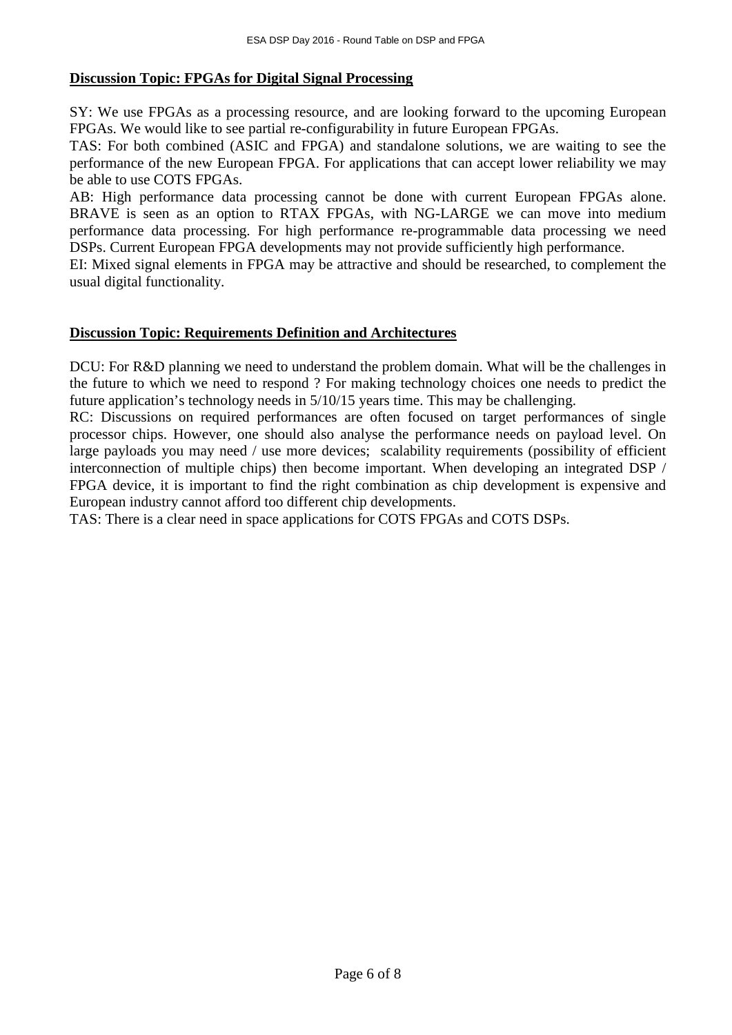#### **Discussion Topic: FPGAs for Digital Signal Processing**

SY: We use FPGAs as a processing resource, and are looking forward to the upcoming European FPGAs. We would like to see partial re-configurability in future European FPGAs.

TAS: For both combined (ASIC and FPGA) and standalone solutions, we are waiting to see the performance of the new European FPGA. For applications that can accept lower reliability we may be able to use COTS FPGAs.

AB: High performance data processing cannot be done with current European FPGAs alone. BRAVE is seen as an option to RTAX FPGAs, with NG-LARGE we can move into medium performance data processing. For high performance re-programmable data processing we need DSPs. Current European FPGA developments may not provide sufficiently high performance.

EI: Mixed signal elements in FPGA may be attractive and should be researched, to complement the usual digital functionality.

#### **Discussion Topic: Requirements Definition and Architectures**

DCU: For R&D planning we need to understand the problem domain. What will be the challenges in the future to which we need to respond ? For making technology choices one needs to predict the future application's technology needs in 5/10/15 years time. This may be challenging.

RC: Discussions on required performances are often focused on target performances of single processor chips. However, one should also analyse the performance needs on payload level. On large payloads you may need / use more devices; scalability requirements (possibility of efficient interconnection of multiple chips) then become important. When developing an integrated DSP / FPGA device, it is important to find the right combination as chip development is expensive and European industry cannot afford too different chip developments.

TAS: There is a clear need in space applications for COTS FPGAs and COTS DSPs.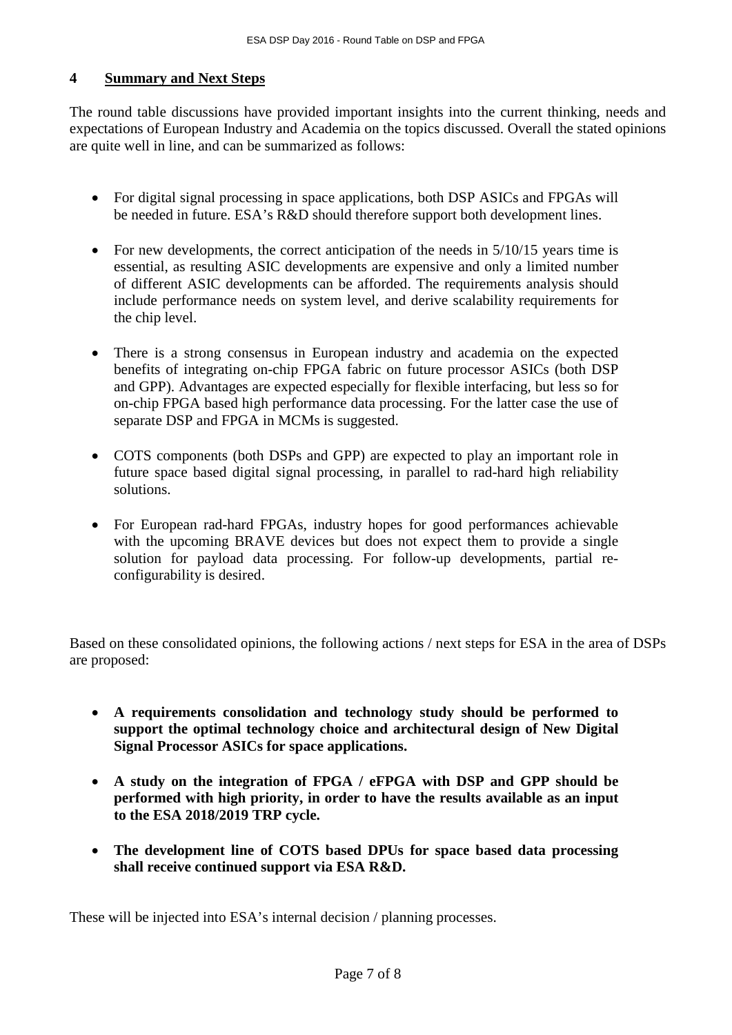#### **4 Summary and Next Steps**

The round table discussions have provided important insights into the current thinking, needs and expectations of European Industry and Academia on the topics discussed. Overall the stated opinions are quite well in line, and can be summarized as follows:

- For digital signal processing in space applications, both DSP ASICs and FPGAs will be needed in future. ESA's R&D should therefore support both development lines.
- For new developments, the correct anticipation of the needs in  $5/10/15$  years time is essential, as resulting ASIC developments are expensive and only a limited number of different ASIC developments can be afforded. The requirements analysis should include performance needs on system level, and derive scalability requirements for the chip level.
- There is a strong consensus in European industry and academia on the expected benefits of integrating on-chip FPGA fabric on future processor ASICs (both DSP and GPP). Advantages are expected especially for flexible interfacing, but less so for on-chip FPGA based high performance data processing. For the latter case the use of separate DSP and FPGA in MCMs is suggested.
- COTS components (both DSPs and GPP) are expected to play an important role in future space based digital signal processing, in parallel to rad-hard high reliability solutions.
- For European rad-hard FPGAs, industry hopes for good performances achievable with the upcoming BRAVE devices but does not expect them to provide a single solution for payload data processing. For follow-up developments, partial reconfigurability is desired.

Based on these consolidated opinions, the following actions / next steps for ESA in the area of DSPs are proposed:

- **A requirements consolidation and technology study should be performed to support the optimal technology choice and architectural design of New Digital Signal Processor ASICs for space applications.**
- **A study on the integration of FPGA / eFPGA with DSP and GPP should be performed with high priority, in order to have the results available as an input to the ESA 2018/2019 TRP cycle.**
- **The development line of COTS based DPUs for space based data processing shall receive continued support via ESA R&D.**

These will be injected into ESA's internal decision / planning processes.